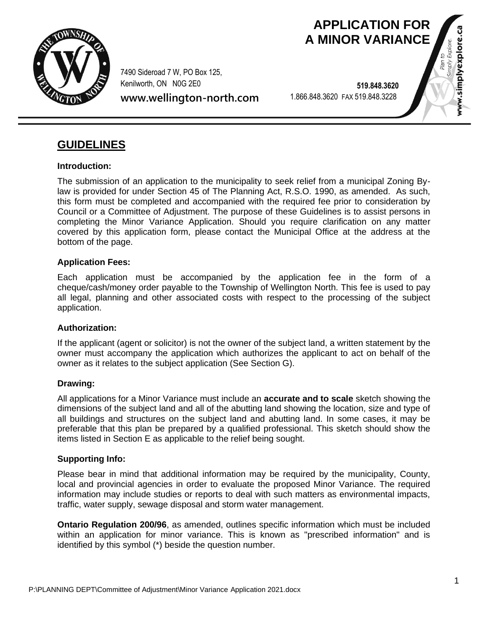

7490 Sideroad 7 W, PO Box 125, Kenilworth, ON N0G 2E0

**www.wellington-north.com**

 **519.848.3620** 1.866.848.3620 FAX 519.848.3228

**APPLICATION FOR A MINOR VARIANCE**

w.simplyexplore.ca

# **GUIDELINES**

## **Introduction:**

The submission of an application to the municipality to seek relief from a municipal Zoning Bylaw is provided for under Section 45 of The Planning Act, R.S.O. 1990, as amended. As such, this form must be completed and accompanied with the required fee prior to consideration by Council or a Committee of Adjustment. The purpose of these Guidelines is to assist persons in completing the Minor Variance Application. Should you require clarification on any matter covered by this application form, please contact the Municipal Office at the address at the bottom of the page.

### **Application Fees:**

Each application must be accompanied by the application fee in the form of a cheque/cash/money order payable to the Township of Wellington North. This fee is used to pay all legal, planning and other associated costs with respect to the processing of the subject application.

## **Authorization:**

If the applicant (agent or solicitor) is not the owner of the subject land, a written statement by the owner must accompany the application which authorizes the applicant to act on behalf of the owner as it relates to the subject application (See Section G).

### **Drawing:**

All applications for a Minor Variance must include an **accurate and to scale** sketch showing the dimensions of the subject land and all of the abutting land showing the location, size and type of all buildings and structures on the subject land and abutting land. In some cases, it may be preferable that this plan be prepared by a qualified professional. This sketch should show the items listed in Section E as applicable to the relief being sought.

### **Supporting Info:**

Please bear in mind that additional information may be required by the municipality, County, local and provincial agencies in order to evaluate the proposed Minor Variance. The required information may include studies or reports to deal with such matters as environmental impacts, traffic, water supply, sewage disposal and storm water management.

**Ontario Regulation 200/96**, as amended, outlines specific information which must be included within an application for minor variance. This is known as "prescribed information" and is identified by this symbol (\*) beside the question number.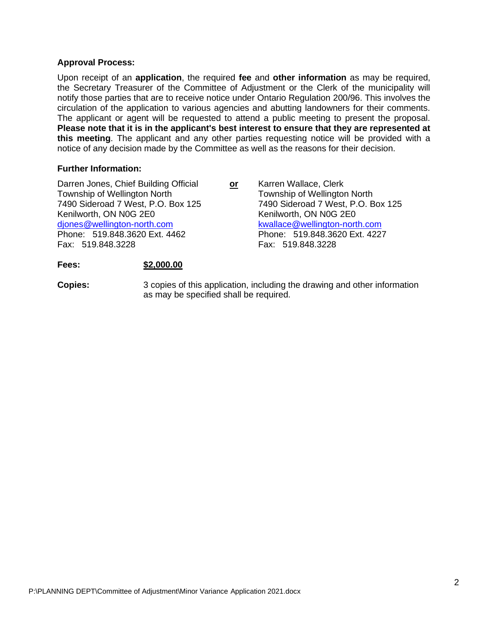### **Approval Process:**

Upon receipt of an **application**, the required **fee** and **other information** as may be required, the Secretary Treasurer of the Committee of Adjustment or the Clerk of the municipality will notify those parties that are to receive notice under Ontario Regulation 200/96. This involves the circulation of the application to various agencies and abutting landowners for their comments. The applicant or agent will be requested to attend a public meeting to present the proposal. **Please note that it is in the applicant's best interest to ensure that they are represented at this meeting**. The applicant and any other parties requesting notice will be provided with a notice of any decision made by the Committee as well as the reasons for their decision.

#### **Further Information:**

| Darren Jones, Chief Building Official | or | Karren Wallace, Clerk              |
|---------------------------------------|----|------------------------------------|
| Township of Wellington North          |    | Township of Wellington North       |
| 7490 Sideroad 7 West, P.O. Box 125    |    | 7490 Sideroad 7 West, P.O. Box 125 |
| Kenilworth, ON N0G 2E0                |    | Kenilworth, ON N0G 2E0             |
| djones@wellington-north.com           |    | kwallace@wellington-north.com      |
| Phone: 519.848.3620 Ext. 4462         |    | Phone: 519.848.3620 Ext. 4227      |
| Fax: 519.848.3228                     |    | Fax: 519.848.3228                  |
|                                       |    |                                    |
|                                       |    |                                    |

## **Fees: \$2,000.00**

**Copies:** 3 copies of this application, including the drawing and other information as may be specified shall be required.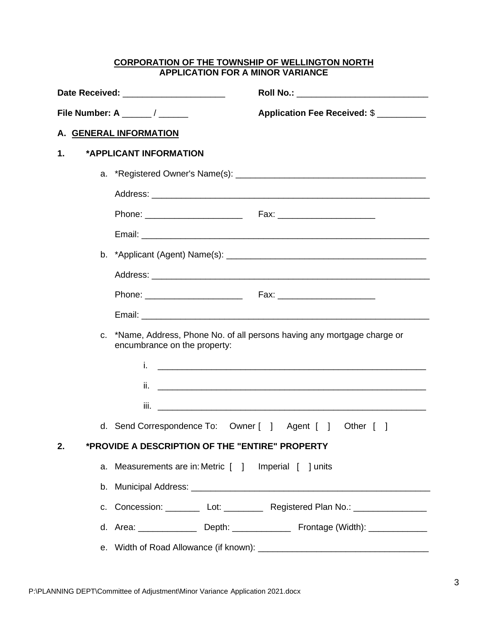#### **CORPORATION OF THE TOWNSHIP OF WELLINGTON NORTH APPLICATION FOR A MINOR VARIANCE**

|    | Date Received: ______________________                    | Roll No.: ___________________________________                                            |  |  |  |  |  |
|----|----------------------------------------------------------|------------------------------------------------------------------------------------------|--|--|--|--|--|
|    | File Number: A _____/ _____                              | Application Fee Received: \$                                                             |  |  |  |  |  |
|    | A. GENERAL INFORMATION                                   |                                                                                          |  |  |  |  |  |
| 1. | *APPLICANT INFORMATION                                   |                                                                                          |  |  |  |  |  |
|    |                                                          |                                                                                          |  |  |  |  |  |
|    |                                                          |                                                                                          |  |  |  |  |  |
|    |                                                          |                                                                                          |  |  |  |  |  |
|    |                                                          |                                                                                          |  |  |  |  |  |
|    |                                                          |                                                                                          |  |  |  |  |  |
|    |                                                          |                                                                                          |  |  |  |  |  |
|    |                                                          |                                                                                          |  |  |  |  |  |
|    |                                                          |                                                                                          |  |  |  |  |  |
|    | encumbrance on the property:                             | c. *Name, Address, Phone No. of all persons having any mortgage charge or                |  |  |  |  |  |
|    | i.                                                       |                                                                                          |  |  |  |  |  |
|    |                                                          |                                                                                          |  |  |  |  |  |
|    |                                                          |                                                                                          |  |  |  |  |  |
|    | d. Send Correspondence To: Owner [ ] Agent [ ] Other [ ] |                                                                                          |  |  |  |  |  |
| 2. | *PROVIDE A DESCRIPTION OF THE "ENTIRE" PROPERTY          |                                                                                          |  |  |  |  |  |
|    | a. Measurements are in: Metric [ ] Imperial [ ] units    |                                                                                          |  |  |  |  |  |
|    |                                                          |                                                                                          |  |  |  |  |  |
|    |                                                          | c. Concession: Let: Lot: Registered Plan No.: Lettermann Lettermann Registered Plan No.: |  |  |  |  |  |
|    |                                                          | d. Area: ________________ Depth: ________________ Frontage (Width): ____________         |  |  |  |  |  |
|    |                                                          |                                                                                          |  |  |  |  |  |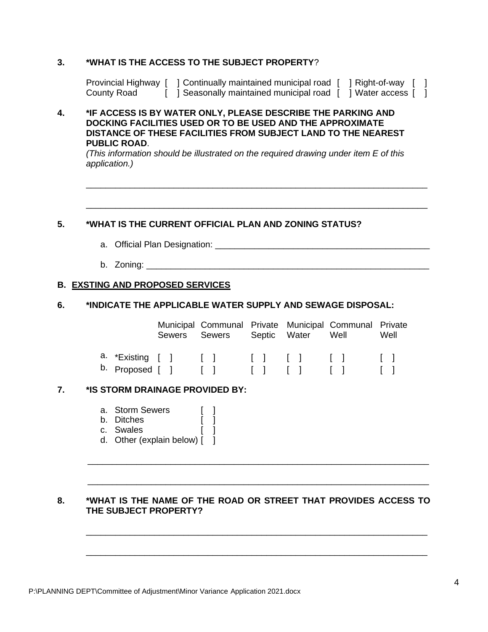## **3. \*WHAT IS THE ACCESS TO THE SUBJECT PROPERTY**?

| Provincial Highway [ | Continually maintained municipal road | ' ]Right-of-way 」 |  |
|----------------------|---------------------------------------|-------------------|--|
| County Road          | Seasonally maintained municipal road  | Water access      |  |

### **4. \*IF ACCESS IS BY WATER ONLY, PLEASE DESCRIBE THE PARKING AND DOCKING FACILITIES USED OR TO BE USED AND THE APPROXIMATE DISTANCE OF THESE FACILITIES FROM SUBJECT LAND TO THE NEAREST PUBLIC ROAD**.

*(This information should be illustrated on the required drawing under item E of this application.)*

\_\_\_\_\_\_\_\_\_\_\_\_\_\_\_\_\_\_\_\_\_\_\_\_\_\_\_\_\_\_\_\_\_\_\_\_\_\_\_\_\_\_\_\_\_\_\_\_\_\_\_\_\_\_\_\_\_\_\_\_\_\_\_\_\_\_\_\_\_\_

\_\_\_\_\_\_\_\_\_\_\_\_\_\_\_\_\_\_\_\_\_\_\_\_\_\_\_\_\_\_\_\_\_\_\_\_\_\_\_\_\_\_\_\_\_\_\_\_\_\_\_\_\_\_\_\_\_\_\_\_\_\_\_\_\_\_\_\_\_\_

## **5. \*WHAT IS THE CURRENT OFFICIAL PLAN AND ZONING STATUS?**

- a. Official Plan Designation: \_\_\_\_\_\_\_\_\_\_\_\_\_\_\_\_\_\_\_\_\_\_\_\_\_\_\_\_\_\_\_\_\_\_\_\_\_\_\_\_\_\_\_\_
- b. Zoning:

## **B. EXSTING AND PROPOSED SERVICES**

## **6. \*INDICATE THE APPLICABLE WATER SUPPLY AND SEWAGE DISPOSAL:**

|                                                                             |  | Municipal Communal Private Municipal Communal Private<br>Sewers Sewers Septic Water Well |  |  |  | Well |
|-----------------------------------------------------------------------------|--|------------------------------------------------------------------------------------------|--|--|--|------|
| a. *Existing [ ] [ ] [ ] [ ] [ ] [ ]<br>b. Proposed [ ] [ ] [ ] [ ] [ ] [ ] |  |                                                                                          |  |  |  |      |

### **7. \*IS STORM DRAINAGE PROVIDED BY:**

- a. Storm Sewers [ ]
- b. Ditches [ ]
- c. Swales [ ]
- d. Other (explain below) [ ]

## **8. \*WHAT IS THE NAME OF THE ROAD OR STREET THAT PROVIDES ACCESS TO THE SUBJECT PROPERTY?**

\_\_\_\_\_\_\_\_\_\_\_\_\_\_\_\_\_\_\_\_\_\_\_\_\_\_\_\_\_\_\_\_\_\_\_\_\_\_\_\_\_\_\_\_\_\_\_\_\_\_\_\_\_\_\_\_\_\_\_\_\_\_\_\_\_\_\_\_\_\_

\_\_\_\_\_\_\_\_\_\_\_\_\_\_\_\_\_\_\_\_\_\_\_\_\_\_\_\_\_\_\_\_\_\_\_\_\_\_\_\_\_\_\_\_\_\_\_\_\_\_\_\_\_\_\_\_\_\_\_\_\_\_\_\_\_\_\_\_\_\_

\_\_\_\_\_\_\_\_\_\_\_\_\_\_\_\_\_\_\_\_\_\_\_\_\_\_\_\_\_\_\_\_\_\_\_\_\_\_\_\_\_\_\_\_\_\_\_\_\_\_\_\_\_\_\_\_\_\_\_\_\_\_\_\_\_\_\_\_\_\_

\_\_\_\_\_\_\_\_\_\_\_\_\_\_\_\_\_\_\_\_\_\_\_\_\_\_\_\_\_\_\_\_\_\_\_\_\_\_\_\_\_\_\_\_\_\_\_\_\_\_\_\_\_\_\_\_\_\_\_\_\_\_\_\_\_\_\_\_\_\_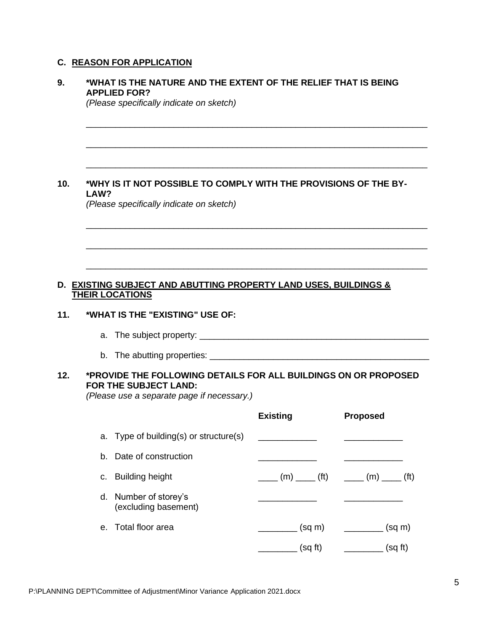# **C. REASON FOR APPLICATION**

| <b>APPLIED FOR?</b>          |                        |                                                                                                                                                                                                                                                                     |                                                                                                                                                                                                                                                                                                                                    |
|------------------------------|------------------------|---------------------------------------------------------------------------------------------------------------------------------------------------------------------------------------------------------------------------------------------------------------------|------------------------------------------------------------------------------------------------------------------------------------------------------------------------------------------------------------------------------------------------------------------------------------------------------------------------------------|
| LAW?                         |                        |                                                                                                                                                                                                                                                                     |                                                                                                                                                                                                                                                                                                                                    |
|                              |                        |                                                                                                                                                                                                                                                                     |                                                                                                                                                                                                                                                                                                                                    |
|                              |                        |                                                                                                                                                                                                                                                                     |                                                                                                                                                                                                                                                                                                                                    |
| a.                           |                        |                                                                                                                                                                                                                                                                     |                                                                                                                                                                                                                                                                                                                                    |
|                              |                        |                                                                                                                                                                                                                                                                     |                                                                                                                                                                                                                                                                                                                                    |
|                              |                        | <b>Existing</b>                                                                                                                                                                                                                                                     | <b>Proposed</b>                                                                                                                                                                                                                                                                                                                    |
|                              |                        |                                                                                                                                                                                                                                                                     |                                                                                                                                                                                                                                                                                                                                    |
|                              |                        |                                                                                                                                                                                                                                                                     |                                                                                                                                                                                                                                                                                                                                    |
| <b>Building height</b><br>C. |                        | (m) ______ (ft)                                                                                                                                                                                                                                                     | $\frac{1}{\sqrt{1-\frac{1}{2}}}\left( m\right)$ (ft)                                                                                                                                                                                                                                                                               |
| d.                           |                        |                                                                                                                                                                                                                                                                     |                                                                                                                                                                                                                                                                                                                                    |
| Total floor area<br>е.       |                        | __________ (sq m)<br>_________ (sq ft)                                                                                                                                                                                                                              | $\frac{1}{\sqrt{1-\frac{1}{2}}\cos(\theta)}$ (sq m)<br>_________ (sq ft)                                                                                                                                                                                                                                                           |
|                              | <b>THEIR LOCATIONS</b> | (Please specifically indicate on sketch)<br>(Please specifically indicate on sketch)<br>*WHAT IS THE "EXISTING" USE OF:<br>FOR THE SUBJECT LAND:<br>a. Type of building(s) or structure(s)<br>b. Date of construction<br>Number of storey's<br>(excluding basement) | *WHAT IS THE NATURE AND THE EXTENT OF THE RELIEF THAT IS BEING<br>*WHY IS IT NOT POSSIBLE TO COMPLY WITH THE PROVISIONS OF THE BY-<br><b>D. EXISTING SUBJECT AND ABUTTING PROPERTY LAND USES, BUILDINGS &amp;</b><br>*PROVIDE THE FOLLOWING DETAILS FOR ALL BUILDINGS ON OR PROPOSED<br>(Please use a separate page if necessary.) |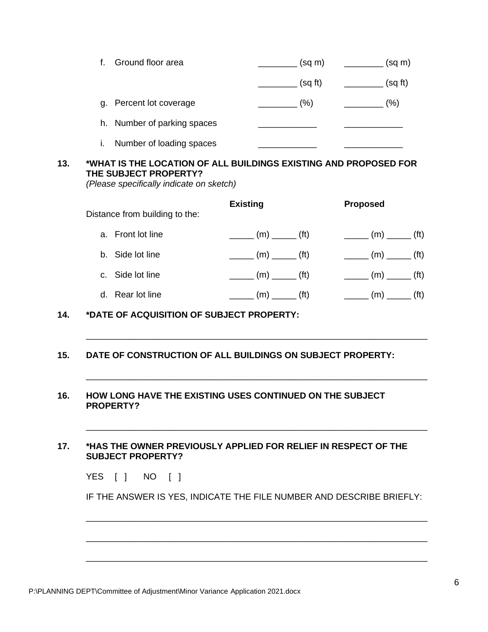| Ground floor area              | (sq m) | (sq m)  |
|--------------------------------|--------|---------|
|                                | (sqft) | (sq ft) |
| Percent lot coverage<br>a.     | (%)    | (%)     |
| Number of parking spaces<br>h. |        |         |
| Number of loading spaces<br>I. |        |         |

# **13. \*WHAT IS THE LOCATION OF ALL BUILDINGS EXISTING AND PROPOSED FOR THE SUBJECT PROPERTY?**

*(Please specifically indicate on sketch)*

| Distance from building to the: | <b>Existing</b> |                                                                                                | <b>Proposed</b> |                                                                                                |                   |
|--------------------------------|-----------------|------------------------------------------------------------------------------------------------|-----------------|------------------------------------------------------------------------------------------------|-------------------|
| a. Front lot line              |                 | $\frac{1}{\sqrt{1-\frac{1}{2}}(t)}$ (m) $\frac{1}{\sqrt{1-\frac{1}{2}}(t)}$                    |                 | $\frac{1}{\sqrt{1-\frac{1}{2}}}\left( m\right) =\frac{1}{\sqrt{1-\frac{1}{2}}}\left( m\right)$ |                   |
| b. Side lot line               |                 | $\frac{1}{\sqrt{1-\frac{1}{2}}}\left( m\right) =\frac{1}{\sqrt{1-\frac{1}{2}}}\left( m\right)$ |                 | $\frac{1}{\sqrt{1-\frac{1}{2}}}\left( m\right)$ (ft)                                           |                   |
| c. Side lot line               |                 | $\frac{1}{\sqrt{1-\frac{1}{2}}}\left( m\right)$ (ft)                                           |                 | $\frac{1}{\sqrt{1-\frac{1}{2}}(t)}$ (m) $\frac{1}{\sqrt{1-\frac{1}{2}}(t)}$                    |                   |
| d. Rear lot line               |                 | $(m)$ (ft)                                                                                     |                 |                                                                                                | (f <sup>t</sup> ) |

\_\_\_\_\_\_\_\_\_\_\_\_\_\_\_\_\_\_\_\_\_\_\_\_\_\_\_\_\_\_\_\_\_\_\_\_\_\_\_\_\_\_\_\_\_\_\_\_\_\_\_\_\_\_\_\_\_\_\_\_\_\_\_\_\_\_\_\_\_\_

\_\_\_\_\_\_\_\_\_\_\_\_\_\_\_\_\_\_\_\_\_\_\_\_\_\_\_\_\_\_\_\_\_\_\_\_\_\_\_\_\_\_\_\_\_\_\_\_\_\_\_\_\_\_\_\_\_\_\_\_\_\_\_\_\_\_\_\_\_\_

\_\_\_\_\_\_\_\_\_\_\_\_\_\_\_\_\_\_\_\_\_\_\_\_\_\_\_\_\_\_\_\_\_\_\_\_\_\_\_\_\_\_\_\_\_\_\_\_\_\_\_\_\_\_\_\_\_\_\_\_\_\_\_\_\_\_\_\_\_\_

**14. \*DATE OF ACQUISITION OF SUBJECT PROPERTY:**

**15. DATE OF CONSTRUCTION OF ALL BUILDINGS ON SUBJECT PROPERTY:**

## **16. HOW LONG HAVE THE EXISTING USES CONTINUED ON THE SUBJECT PROPERTY?**

## **17. \*HAS THE OWNER PREVIOUSLY APPLIED FOR RELIEF IN RESPECT OF THE SUBJECT PROPERTY?**

| YES |  | <b>NO</b> |  |  |
|-----|--|-----------|--|--|
|-----|--|-----------|--|--|

IF THE ANSWER IS YES, INDICATE THE FILE NUMBER AND DESCRIBE BRIEFLY:

\_\_\_\_\_\_\_\_\_\_\_\_\_\_\_\_\_\_\_\_\_\_\_\_\_\_\_\_\_\_\_\_\_\_\_\_\_\_\_\_\_\_\_\_\_\_\_\_\_\_\_\_\_\_\_\_\_\_\_\_\_\_\_\_\_\_\_\_\_\_

\_\_\_\_\_\_\_\_\_\_\_\_\_\_\_\_\_\_\_\_\_\_\_\_\_\_\_\_\_\_\_\_\_\_\_\_\_\_\_\_\_\_\_\_\_\_\_\_\_\_\_\_\_\_\_\_\_\_\_\_\_\_\_\_\_\_\_\_\_\_

\_\_\_\_\_\_\_\_\_\_\_\_\_\_\_\_\_\_\_\_\_\_\_\_\_\_\_\_\_\_\_\_\_\_\_\_\_\_\_\_\_\_\_\_\_\_\_\_\_\_\_\_\_\_\_\_\_\_\_\_\_\_\_\_\_\_\_\_\_\_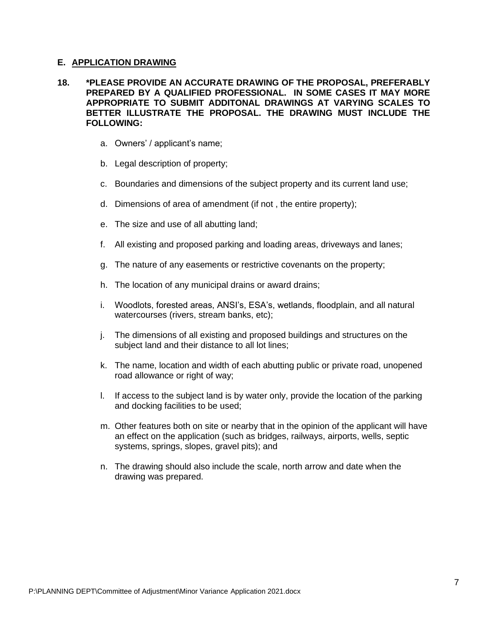### **E. APPLICATION DRAWING**

## **18. \*PLEASE PROVIDE AN ACCURATE DRAWING OF THE PROPOSAL, PREFERABLY PREPARED BY A QUALIFIED PROFESSIONAL. IN SOME CASES IT MAY MORE APPROPRIATE TO SUBMIT ADDITONAL DRAWINGS AT VARYING SCALES TO BETTER ILLUSTRATE THE PROPOSAL. THE DRAWING MUST INCLUDE THE FOLLOWING:**

- a. Owners' / applicant's name;
- b. Legal description of property;
- c. Boundaries and dimensions of the subject property and its current land use;
- d. Dimensions of area of amendment (if not , the entire property);
- e. The size and use of all abutting land;
- f. All existing and proposed parking and loading areas, driveways and lanes;
- g. The nature of any easements or restrictive covenants on the property;
- h. The location of any municipal drains or award drains;
- i. Woodlots, forested areas, ANSI's, ESA's, wetlands, floodplain, and all natural watercourses (rivers, stream banks, etc);
- j. The dimensions of all existing and proposed buildings and structures on the subject land and their distance to all lot lines;
- k. The name, location and width of each abutting public or private road, unopened road allowance or right of way;
- l. If access to the subject land is by water only, provide the location of the parking and docking facilities to be used;
- m. Other features both on site or nearby that in the opinion of the applicant will have an effect on the application (such as bridges, railways, airports, wells, septic systems, springs, slopes, gravel pits); and
- n. The drawing should also include the scale, north arrow and date when the drawing was prepared.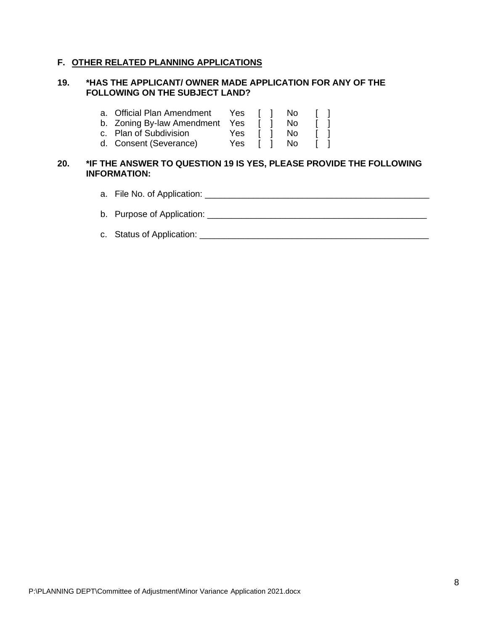# **F. OTHER RELATED PLANNING APPLICATIONS**

### **19. \*HAS THE APPLICANT/ OWNER MADE APPLICATION FOR ANY OF THE FOLLOWING ON THE SUBJECT LAND?**

|     | <b>Official Plan Amendment</b><br>a.<br>b. Zoning By-law Amendment<br>c. Plan of Subdivision<br>d. Consent (Severance)   | Yes.<br>Yes<br>Yes.<br>Yes |  | No.<br><b>No</b><br><b>No</b><br>No. |  |
|-----|--------------------------------------------------------------------------------------------------------------------------|----------------------------|--|--------------------------------------|--|
| 20. | *IF THE ANSWER TO QUESTION 19 IS YES, PLEASE PROVIDE THE FOLLOWING<br><b>INFORMATION:</b><br>a. File No. of Application: |                            |  |                                      |  |
|     |                                                                                                                          |                            |  |                                      |  |

- b. Purpose of Application: \_\_\_\_\_\_\_\_\_\_\_\_\_\_\_\_\_\_\_\_\_\_\_\_\_\_\_\_\_\_\_\_\_\_\_\_\_\_\_\_\_\_\_\_\_
- c. Status of Application: \_\_\_\_\_\_\_\_\_\_\_\_\_\_\_\_\_\_\_\_\_\_\_\_\_\_\_\_\_\_\_\_\_\_\_\_\_\_\_\_\_\_\_\_\_\_\_